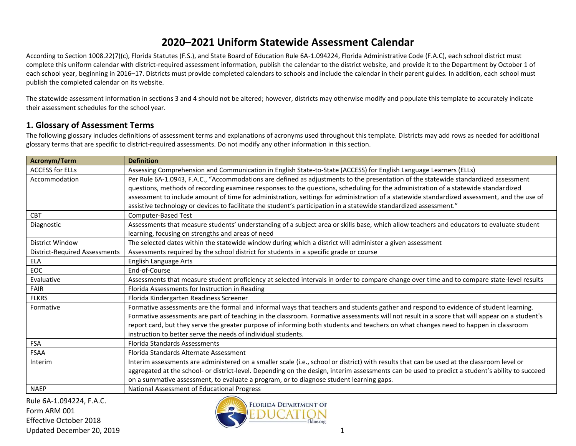According to Section 1008.22(7)(c), Florida Statutes (F.S.), and State Board of Education Rule 6A-1.094224, Florida Administrative Code (F.A.C), each school district must complete this uniform calendar with district-required assessment information, publish the calendar to the district website, and provide it to the Department by October 1 of each school year, beginning in 2016–17. Districts must provide completed calendars to schools and include the calendar in their parent guides. In addition, each school must publish the completed calendar on its website.

The statewide assessment information in sections 3 and 4 should not be altered; however, districts may otherwise modify and populate this template to accurately indicate their assessment schedules for the school year.

#### **1. Glossary of Assessment Terms**

The following glossary includes definitions of assessment terms and explanations of acronyms used throughout this template. Districts may add rows as needed for additional glossary terms that are specific to district-required assessments. Do not modify any other information in this section.

| Acronym/Term                         | <b>Definition</b>                                                                                                                               |
|--------------------------------------|-------------------------------------------------------------------------------------------------------------------------------------------------|
| <b>ACCESS for ELLs</b>               | Assessing Comprehension and Communication in English State-to-State (ACCESS) for English Language Learners (ELLs)                               |
| Accommodation                        | Per Rule 6A-1.0943, F.A.C., "Accommodations are defined as adjustments to the presentation of the statewide standardized assessment             |
|                                      | questions, methods of recording examinee responses to the questions, scheduling for the administration of a statewide standardized              |
|                                      | assessment to include amount of time for administration, settings for administration of a statewide standardized assessment, and the use of     |
|                                      | assistive technology or devices to facilitate the student's participation in a statewide standardized assessment."                              |
| CBT                                  | Computer-Based Test                                                                                                                             |
| Diagnostic                           | Assessments that measure students' understanding of a subject area or skills base, which allow teachers and educators to evaluate student       |
|                                      | learning, focusing on strengths and areas of need                                                                                               |
| <b>District Window</b>               | The selected dates within the statewide window during which a district will administer a given assessment                                       |
| <b>District-Required Assessments</b> | Assessments required by the school district for students in a specific grade or course                                                          |
| ELA                                  | English Language Arts                                                                                                                           |
| <b>EOC</b>                           | End-of-Course                                                                                                                                   |
| Evaluative                           | Assessments that measure student proficiency at selected intervals in order to compare change over time and to compare state-level results      |
| <b>FAIR</b>                          | Florida Assessments for Instruction in Reading                                                                                                  |
| <b>FLKRS</b>                         | Florida Kindergarten Readiness Screener                                                                                                         |
| Formative                            | Formative assessments are the formal and informal ways that teachers and students gather and respond to evidence of student learning.           |
|                                      | Formative assessments are part of teaching in the classroom. Formative assessments will not result in a score that will appear on a student's   |
|                                      | report card, but they serve the greater purpose of informing both students and teachers on what changes need to happen in classroom             |
|                                      | instruction to better serve the needs of individual students.                                                                                   |
| FSA                                  | <b>Florida Standards Assessments</b>                                                                                                            |
| FSAA                                 | Florida Standards Alternate Assessment                                                                                                          |
| Interim                              | Interim assessments are administered on a smaller scale (i.e., school or district) with results that can be used at the classroom level or      |
|                                      | aggregated at the school- or district-level. Depending on the design, interim assessments can be used to predict a student's ability to succeed |
|                                      | on a summative assessment, to evaluate a program, or to diagnose student learning gaps.                                                         |
| <b>NAEP</b>                          | National Assessment of Educational Progress                                                                                                     |

Rule 6A-1.094224, F.A.C. Form ARM 001 Effective October 2018 Updated December 20, 2019 1

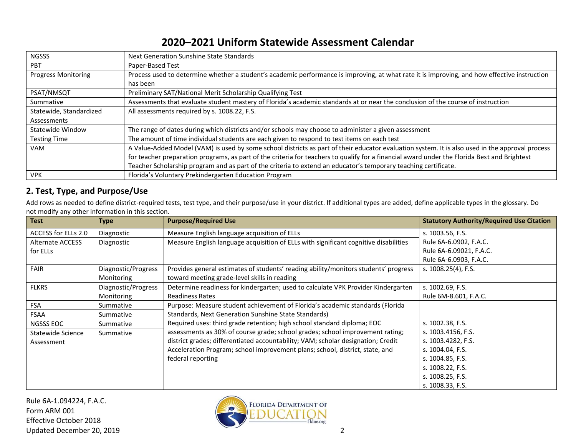| <b>NGSSS</b>               | Next Generation Sunshine State Standards                                                                                                        |
|----------------------------|-------------------------------------------------------------------------------------------------------------------------------------------------|
| <b>PBT</b>                 | Paper-Based Test                                                                                                                                |
| <b>Progress Monitoring</b> | Process used to determine whether a student's academic performance is improving, at what rate it is improving, and how effective instruction    |
|                            | has been                                                                                                                                        |
| PSAT/NMSQT                 | Preliminary SAT/National Merit Scholarship Qualifying Test                                                                                      |
| Summative                  | Assessments that evaluate student mastery of Florida's academic standards at or near the conclusion of the course of instruction                |
| Statewide, Standardized    | All assessments required by s. 1008.22, F.S.                                                                                                    |
| Assessments                |                                                                                                                                                 |
| <b>Statewide Window</b>    | The range of dates during which districts and/or schools may choose to administer a given assessment                                            |
| <b>Testing Time</b>        | The amount of time individual students are each given to respond to test items on each test                                                     |
| VAM                        | A Value-Added Model (VAM) is used by some school districts as part of their educator evaluation system. It is also used in the approval process |
|                            | for teacher preparation programs, as part of the criteria for teachers to qualify for a financial award under the Florida Best and Brightest    |
|                            | Teacher Scholarship program and as part of the criteria to extend an educator's temporary teaching certificate.                                 |
| <b>VPK</b>                 | Florida's Voluntary Prekindergarten Education Program                                                                                           |

### **2. Test, Type, and Purpose/Use**

Add rows as needed to define district-required tests, test type, and their purpose/use in your district. If additional types are added, define applicable types in the glossary. Do not modify any other information in this section.

| <b>Test</b>             | <b>Type</b>         | <b>Purpose/Required Use</b>                                                          | <b>Statutory Authority/Required Use Citation</b> |
|-------------------------|---------------------|--------------------------------------------------------------------------------------|--------------------------------------------------|
| ACCESS for ELLs 2.0     | Diagnostic          | Measure English language acquisition of ELLs                                         | s. 1003.56, F.S.                                 |
| <b>Alternate ACCESS</b> | Diagnostic          | Measure English language acquisition of ELLs with significant cognitive disabilities | Rule 6A-6.0902, F.A.C.                           |
| for ELLs                |                     |                                                                                      | Rule 6A-6.09021, F.A.C.                          |
|                         |                     |                                                                                      | Rule 6A-6.0903, F.A.C.                           |
| FAIR                    | Diagnostic/Progress | Provides general estimates of students' reading ability/monitors students' progress  | s. 1008.25(4), F.S.                              |
|                         | Monitoring          | toward meeting grade-level skills in reading                                         |                                                  |
| <b>FLKRS</b>            | Diagnostic/Progress | Determine readiness for kindergarten; used to calculate VPK Provider Kindergarten    | s. 1002.69, F.S.                                 |
|                         | Monitoring          | <b>Readiness Rates</b>                                                               | Rule 6M-8.601, F.A.C.                            |
| <b>FSA</b>              | Summative           | Purpose: Measure student achievement of Florida's academic standards (Florida        |                                                  |
| <b>FSAA</b>             | Summative           | Standards, Next Generation Sunshine State Standards)                                 |                                                  |
| NGSSS EOC               | Summative           | Required uses: third grade retention; high school standard diploma; EOC              | s. 1002.38, F.S.                                 |
| Statewide Science       | Summative           | assessments as 30% of course grade; school grades; school improvement rating;        | s. 1003.4156, F.S.                               |
| Assessment              |                     | district grades; differentiated accountability; VAM; scholar designation; Credit     | s. 1003.4282, F.S.                               |
|                         |                     | Acceleration Program; school improvement plans; school, district, state, and         | s. 1004.04, F.S.                                 |
|                         |                     | federal reporting                                                                    | s. 1004.85, F.S.                                 |
|                         |                     |                                                                                      | s. 1008.22, F.S.                                 |
|                         |                     |                                                                                      | s. 1008.25, F.S.                                 |
|                         |                     |                                                                                      | s. 1008.33, F.S.                                 |

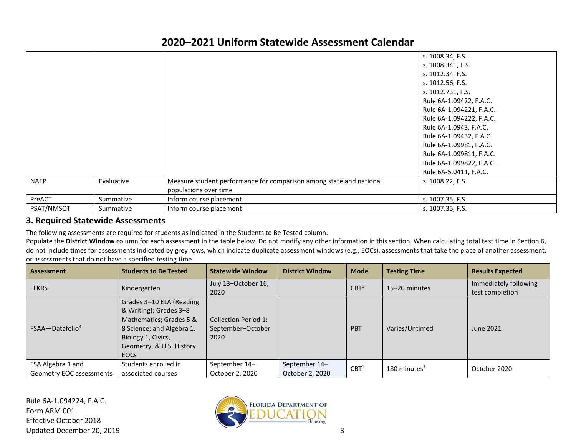|             |            |                                                                     | s. 1008.34, F.S.         |
|-------------|------------|---------------------------------------------------------------------|--------------------------|
|             |            |                                                                     | s. 1008.341, F.S.        |
|             |            |                                                                     | s. 1012.34, F.S.         |
|             |            |                                                                     | s. 1012.56, F.S.         |
|             |            |                                                                     | s. 1012.731, F.S.        |
|             |            |                                                                     | Rule 6A-1.09422, F.A.C.  |
|             |            |                                                                     | Rule 6A-1.094221, F.A.C. |
|             |            |                                                                     | Rule 6A-1.094222, F.A.C. |
|             |            |                                                                     | Rule 6A-1.0943, F.A.C.   |
|             |            |                                                                     | Rule 6A-1.09432, F.A.C.  |
|             |            |                                                                     | Rule 6A-1.09981, F.A.C.  |
|             |            |                                                                     | Rule 6A-1.099811, F.A.C. |
|             |            |                                                                     | Rule 6A-1.099822, F.A.C. |
|             |            |                                                                     | Rule 6A-5.0411, F.A.C.   |
| <b>NAEP</b> | Evaluative | Measure student performance for comparison among state and national | s. 1008.22, F.S.         |
|             |            | populations over time                                               |                          |
| PreACT      | Summative  | Inform course placement                                             | s. 1007.35, F.S.         |
| PSAT/NMSQT  | Summative  | Inform course placement                                             | s. 1007.35, F.S.         |

#### **3. Required Statewide Assessments**

The following assessments are required for students as indicated in the Students to Be Tested column.

Populate the District Window column for each assessment in the table below. Do not modify any other information in this section. When calculating total test time in Section 6, do not include times for assessments indicated by grey rows, which indicate duplicate assessment windows (e.g., EOCs), assessments that take the place of another assessment, or assessments that do not have a specified testing time.

| <b>Assessment</b>                             | <b>Students to Be Tested</b>                                                                                                                                                | <b>Statewide Window</b>                           | <b>District Window</b>           | <b>Mode</b>           | <b>Testing Time</b> | <b>Results Expected</b>                  |
|-----------------------------------------------|-----------------------------------------------------------------------------------------------------------------------------------------------------------------------------|---------------------------------------------------|----------------------------------|-----------------------|---------------------|------------------------------------------|
| <b>FLKRS</b>                                  | Kindergarten                                                                                                                                                                | July 13-October 16,<br>2020                       |                                  | CBT <sup>1</sup>      | 15-20 minutes       | Immediately following<br>test completion |
| $FSAA - Database$                             | Grades 3-10 ELA (Reading<br>& Writing); Grades 3-8<br>Mathematics; Grades 5 &<br>8 Science; and Algebra 1,<br>Biology 1, Civics,<br>Geometry, & U.S. History<br><b>EOCs</b> | Collection Period 1:<br>September-October<br>2020 |                                  | PBT<br>Varies/Untimed |                     | June 2021                                |
| FSA Algebra 1 and<br>Geometry EOC assessments | Students enrolled in<br>associated courses                                                                                                                                  | September 14-<br>October 2, 2020                  | September 14-<br>October 2, 2020 | CBT <sup>1</sup>      | 180 minutes $2$     | October 2020                             |

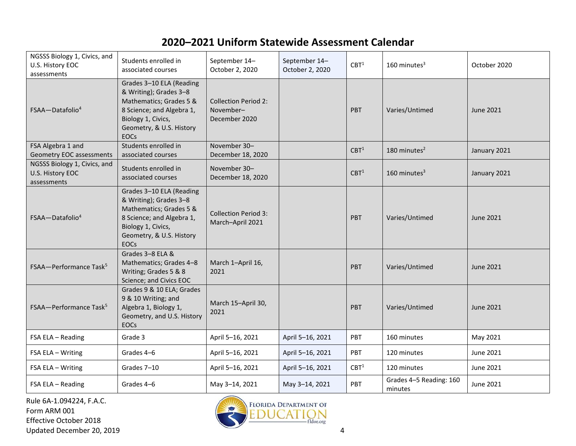| NGSSS Biology 1, Civics, and<br>U.S. History EOC<br>assessments | Students enrolled in<br>associated courses                                                                                                                                  | September 14-<br>October 2, 2020                          | September 14-<br>October 2, 2020 | CBT <sup>1</sup> | 160 minutes $3$                    | October 2020     |
|-----------------------------------------------------------------|-----------------------------------------------------------------------------------------------------------------------------------------------------------------------------|-----------------------------------------------------------|----------------------------------|------------------|------------------------------------|------------------|
| $FSAA - Datafolio4$                                             | Grades 3-10 ELA (Reading<br>& Writing); Grades 3-8<br>Mathematics; Grades 5 &<br>8 Science; and Algebra 1,<br>Biology 1, Civics,<br>Geometry, & U.S. History<br><b>EOCs</b> | <b>Collection Period 2:</b><br>November-<br>December 2020 |                                  | <b>PBT</b>       | Varies/Untimed                     | June 2021        |
| FSA Algebra 1 and<br>Geometry EOC assessments                   | Students enrolled in<br>associated courses                                                                                                                                  | November 30-<br>December 18, 2020                         |                                  | CBT <sup>1</sup> | 180 minutes <sup>2</sup>           | January 2021     |
| NGSSS Biology 1, Civics, and<br>U.S. History EOC<br>assessments | Students enrolled in<br>associated courses                                                                                                                                  | November 30-<br>December 18, 2020                         |                                  | CBT <sup>1</sup> | $160$ minutes <sup>3</sup>         | January 2021     |
| FSAA-Datafolio <sup>4</sup>                                     | Grades 3-10 ELA (Reading<br>& Writing); Grades 3-8<br>Mathematics; Grades 5 &<br>8 Science; and Algebra 1,<br>Biology 1, Civics,<br>Geometry, & U.S. History<br><b>EOCs</b> | <b>Collection Period 3:</b><br>March-April 2021           |                                  | <b>PBT</b>       | Varies/Untimed                     | <b>June 2021</b> |
| FSAA-Performance Task <sup>5</sup>                              | Grades 3-8 ELA &<br>Mathematics; Grades 4-8<br>Writing; Grades 5 & 8<br>Science; and Civics EOC                                                                             | March 1-April 16,<br>2021                                 |                                  | <b>PBT</b>       | Varies/Untimed                     | June 2021        |
| FSAA-Performance Task <sup>5</sup>                              | Grades 9 & 10 ELA; Grades<br>9 & 10 Writing; and<br>Algebra 1, Biology 1,<br>Geometry, and U.S. History<br><b>EOCs</b>                                                      | March 15-April 30,<br>2021                                |                                  | PBT              | Varies/Untimed                     | <b>June 2021</b> |
| FSA ELA - Reading                                               | Grade 3                                                                                                                                                                     | April 5-16, 2021                                          | April 5-16, 2021                 | PBT              | 160 minutes                        | May 2021         |
| FSA ELA - Writing                                               | Grades 4-6                                                                                                                                                                  | April 5-16, 2021                                          | April 5-16, 2021                 | <b>PBT</b>       | 120 minutes                        | June 2021        |
| FSA ELA - Writing                                               | Grades 7-10                                                                                                                                                                 | April 5-16, 2021                                          | April 5-16, 2021                 | CBT <sup>1</sup> | 120 minutes                        | June 2021        |
| FSA ELA - Reading                                               | Grades 4-6                                                                                                                                                                  | May 3-14, 2021                                            | May 3-14, 2021                   | PBT              | Grades 4-5 Reading: 160<br>minutes | June 2021        |

Rule 6A-1.094224, F.A.C. Form ARM 001 Effective October 2018 Updated December 20, 2019 4

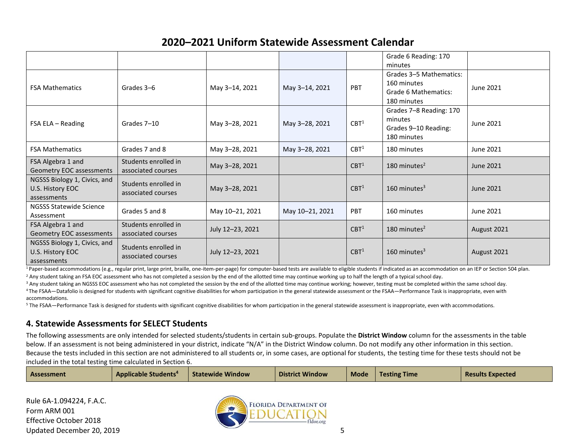|                                                                 |                                            |                  |                 |                  | Grade 6 Reading: 170<br>minutes                                               |                  |
|-----------------------------------------------------------------|--------------------------------------------|------------------|-----------------|------------------|-------------------------------------------------------------------------------|------------------|
| <b>FSA Mathematics</b>                                          | Grades 3-6                                 | May 3-14, 2021   | May 3-14, 2021  | <b>PBT</b>       | Grades 3-5 Mathematics:<br>160 minutes<br>Grade 6 Mathematics:<br>180 minutes | <b>June 2021</b> |
| FSA ELA - Reading                                               | Grades 7-10                                | May 3-28, 2021   | May 3-28, 2021  | CBT <sup>1</sup> | Grades 7-8 Reading: 170<br>minutes<br>Grades 9–10 Reading:<br>180 minutes     | June 2021        |
| <b>FSA Mathematics</b>                                          | Grades 7 and 8                             | May 3-28, 2021   | May 3-28, 2021  | CBT <sup>1</sup> | 180 minutes                                                                   | June 2021        |
| FSA Algebra 1 and<br>Geometry EOC assessments                   | Students enrolled in<br>associated courses | May 3-28, 2021   |                 | CBT <sup>1</sup> | 180 minutes $2$                                                               | June 2021        |
| NGSSS Biology 1, Civics, and<br>U.S. History EOC<br>assessments | Students enrolled in<br>associated courses | May 3-28, 2021   |                 | CBT <sup>1</sup> | $160$ minutes <sup>3</sup>                                                    | June 2021        |
| <b>NGSSS Statewide Science</b><br>Assessment                    | Grades 5 and 8                             | May 10-21, 2021  | May 10-21, 2021 | <b>PBT</b>       | 160 minutes                                                                   | June 2021        |
| FSA Algebra 1 and<br>Geometry EOC assessments                   | Students enrolled in<br>associated courses | July 12-23, 2021 |                 | CBT <sup>1</sup> | 180 minutes $2$                                                               | August 2021      |
| NGSSS Biology 1, Civics, and<br>U.S. History EOC<br>assessments | Students enrolled in<br>associated courses | July 12-23, 2021 |                 | CBT <sup>1</sup> | $160$ minutes <sup>3</sup>                                                    | August 2021      |

<sup>1</sup>Paper-based accommodations (e.g., regular print, large print, braille, one-item-per-page) for computer-based tests are available to eligible students if indicated as an accommodation on an IEP or Section 504 plan. <sup>2</sup> Any student taking an FSA EOC assessment who has not completed a session by the end of the allotted time may continue working up to half the length of a typical school day.

<sup>3</sup> Any student taking an NGSSS EOC assessment who has not completed the session by the end of the allotted time may continue working; however, testing must be completed within the same school day.

<sup>4</sup>The FSAA—Datafolio is designed for students with significant cognitive disabilities for whom participation in the general statewide assessment or the FSAA—Performance Task is inappropriate, even with accommodations.

<sup>5</sup> The FSAA—Performance Task is designed for students with significant cognitive disabilities for whom participation in the general statewide assessment is inappropriate, even with accommodations.

### **4. Statewide Assessments for SELECT Students**

The following assessments are only intended for selected students/students in certain sub-groups. Populate the **District Window** column for the assessments in the table below. If an assessment is not being administered in your district, indicate "N/A" in the District Window column. Do not modify any other information in this section. Because the tests included in this section are not administered to all students or, in some cases, are optional for students, the testing time for these tests should not be included in the total testing time calculated in Section 6.

| <b>Assessment</b> | <b>Applicable Students<sup>4</sup></b> | Statewide Window | <b>District Window</b> | <b>Mode</b> | <b>Testing Time</b> | <b>Results Expected</b> |
|-------------------|----------------------------------------|------------------|------------------------|-------------|---------------------|-------------------------|
|-------------------|----------------------------------------|------------------|------------------------|-------------|---------------------|-------------------------|

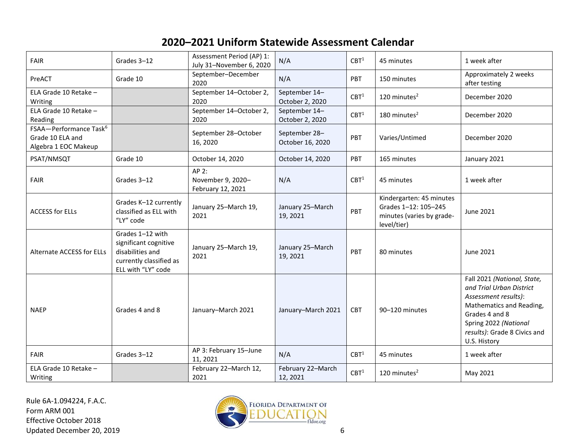| <b>FAIR</b>                                                                    | Grades 3-12                                                                                                    | Assessment Period (AP) 1:<br>July 31-November 6, 2020 | N/A                               | CBT <sup>1</sup> | 45 minutes                                                                                   | 1 week after                                                                                                                                                                                           |
|--------------------------------------------------------------------------------|----------------------------------------------------------------------------------------------------------------|-------------------------------------------------------|-----------------------------------|------------------|----------------------------------------------------------------------------------------------|--------------------------------------------------------------------------------------------------------------------------------------------------------------------------------------------------------|
| PreACT                                                                         | Grade 10                                                                                                       | September-December<br>2020                            | N/A                               | <b>PBT</b>       | 150 minutes                                                                                  | Approximately 2 weeks<br>after testing                                                                                                                                                                 |
| ELA Grade 10 Retake -<br>Writing                                               |                                                                                                                | September 14-October 2,<br>2020                       | September 14-<br>October 2, 2020  | CBT <sup>1</sup> | 120 minutes <sup>2</sup>                                                                     | December 2020                                                                                                                                                                                          |
| ELA Grade 10 Retake -<br>Reading                                               |                                                                                                                | September 14-October 2,<br>2020                       | September 14-<br>October 2, 2020  | CBT <sup>1</sup> | $180$ minutes <sup>2</sup>                                                                   | December 2020                                                                                                                                                                                          |
| FSAA-Performance Task <sup>6</sup><br>Grade 10 ELA and<br>Algebra 1 EOC Makeup |                                                                                                                | September 28-October<br>16, 2020                      | September 28-<br>October 16, 2020 | PBT              | Varies/Untimed                                                                               | December 2020                                                                                                                                                                                          |
| PSAT/NMSQT                                                                     | Grade 10                                                                                                       | October 14, 2020                                      | October 14, 2020                  | PBT              | 165 minutes                                                                                  | January 2021                                                                                                                                                                                           |
| <b>FAIR</b>                                                                    | Grades 3-12                                                                                                    | AP 2:<br>November 9, 2020-<br>February 12, 2021       | N/A                               | CBT <sup>1</sup> | 45 minutes                                                                                   | 1 week after                                                                                                                                                                                           |
| <b>ACCESS for ELLs</b>                                                         | Grades K-12 currently<br>classified as ELL with<br>"LY" code                                                   | January 25-March 19,<br>2021                          | January 25-March<br>19, 2021      | PBT              | Kindergarten: 45 minutes<br>Grades 1-12: 105-245<br>minutes (varies by grade-<br>level/tier) | June 2021                                                                                                                                                                                              |
| Alternate ACCESS for ELLs                                                      | Grades 1-12 with<br>significant cognitive<br>disabilities and<br>currently classified as<br>ELL with "LY" code | January 25-March 19,<br>2021                          | January 25-March<br>19, 2021      | PBT              | 80 minutes                                                                                   | June 2021                                                                                                                                                                                              |
| <b>NAEP</b>                                                                    | Grades 4 and 8                                                                                                 | January-March 2021                                    | January-March 2021                | <b>CBT</b>       | 90-120 minutes                                                                               | Fall 2021 (National, State,<br>and Trial Urban District<br>Assessment results):<br>Mathematics and Reading,<br>Grades 4 and 8<br>Spring 2022 (National<br>results): Grade 8 Civics and<br>U.S. History |
| <b>FAIR</b>                                                                    | Grades 3-12                                                                                                    | AP 3: February 15-June<br>11, 2021                    | N/A                               | CBT <sup>1</sup> | 45 minutes                                                                                   | 1 week after                                                                                                                                                                                           |
| ELA Grade 10 Retake -<br>Writing                                               |                                                                                                                | February 22-March 12,<br>2021                         | February 22-March<br>12, 2021     | CBT <sup>1</sup> | 120 minutes $2$                                                                              | May 2021                                                                                                                                                                                               |

Rule 6A-1.094224, F.A.C. Form ARM 001 Effective October 2018

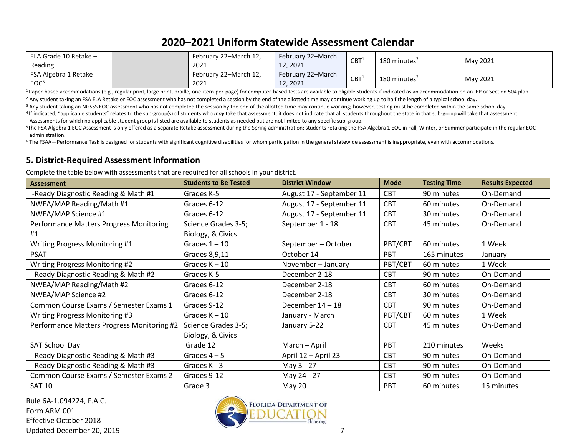| ELA Grade 10 Retake -<br>Reading         | February 22–March 12,<br>2021 | <b>February 22-March</b><br>12.2021 | CBT <sup>1</sup> | 180 minutes <sup>2</sup> | May 2021 |
|------------------------------------------|-------------------------------|-------------------------------------|------------------|--------------------------|----------|
| FSA Algebra 1 Retake<br>EOC <sup>5</sup> | February 22–March 12,<br>2021 | February 22–March<br>12, 2021       | CBT <sup>1</sup> | 180 minutes $2$          | May 2021 |

<sup>1</sup>Paper-based accommodations (e.g., regular print, large print, braille, one-item-per-page) for computer-based tests are available to eligible students if indicated as an accommodation on an IEP or Section 504 plan.

<sup>2</sup> Any student taking an FSA ELA Retake or EOC assessment who has not completed a session by the end of the allotted time may continue working up to half the length of a typical school day.

<sup>3</sup> Any student taking an NGSSS EOC assessment who has not completed the session by the end of the allotted time may continue working; however, testing must be completed within the same school day.

<sup>4</sup>If indicated, "applicable students" relates to the sub-group(s) of students who *may* take that assessment; it does not indicate that all students throughout the state in that sub-group will take that assessment. Assessments for which no applicable student group is listed are available to students as needed but are not limited to any specific sub-group.

<sup>5</sup>The FSA Algebra 1 EOC Assessment is only offered as a separate Retake assessment during the Spring administration; students retaking the FSA Algebra 1 EOC in Fall, Winter, or Summer participate in the regular EOC administration.

<sup>6</sup> The FSAA—Performance Task is designed for students with significant cognitive disabilities for whom participation in the general statewide assessment is inappropriate, even with accommodations.

#### **5. District-Required Assessment Information**

Complete the table below with assessments that are required for all schools in your district.

| <b>Assessment</b>                              | <b>Students to Be Tested</b> | <b>District Window</b>   | <b>Mode</b> | <b>Testing Time</b> | <b>Results Expected</b> |
|------------------------------------------------|------------------------------|--------------------------|-------------|---------------------|-------------------------|
| i-Ready Diagnostic Reading & Math #1           | Grades K-5                   | August 17 - September 11 | <b>CBT</b>  | 90 minutes          | On-Demand               |
| NWEA/MAP Reading/Math #1                       | Grades 6-12                  | August 17 - September 11 | <b>CBT</b>  | 60 minutes          | On-Demand               |
| NWEA/MAP Science #1                            | Grades 6-12                  | August 17 - September 11 | <b>CBT</b>  | 30 minutes          | On-Demand               |
| <b>Performance Matters Progress Monitoring</b> | Science Grades 3-5;          | September 1 - 18         | <b>CBT</b>  | 45 minutes          | On-Demand               |
| #1                                             | Biology, & Civics            |                          |             |                     |                         |
| Writing Progress Monitoring #1                 | Grades $1 - 10$              | September - October      | PBT/CBT     | 60 minutes          | 1 Week                  |
| <b>PSAT</b>                                    | Grades 8,9,11                | October 14               | <b>PBT</b>  | 165 minutes         | January                 |
| Writing Progress Monitoring #2                 | Grades $K - 10$              | November - January       | PBT/CBT     | 60 minutes          | 1 Week                  |
| i-Ready Diagnostic Reading & Math #2           | Grades K-5                   | December 2-18            | <b>CBT</b>  | 90 minutes          | On-Demand               |
| NWEA/MAP Reading/Math #2                       | Grades 6-12                  | December 2-18            | <b>CBT</b>  | 60 minutes          | On-Demand               |
| NWEA/MAP Science #2                            | Grades 6-12                  | December 2-18            | <b>CBT</b>  | 30 minutes          | On-Demand               |
| Common Course Exams / Semester Exams 1         | Grades 9-12                  | December 14 - 18         | <b>CBT</b>  | 90 minutes          | On-Demand               |
| Writing Progress Monitoring #3                 | Grades $K - 10$              | January - March          | PBT/CBT     | 60 minutes          | 1 Week                  |
| Performance Matters Progress Monitoring #2     | Science Grades 3-5;          | January 5-22             | <b>CBT</b>  | 45 minutes          | On-Demand               |
|                                                | Biology, & Civics            |                          |             |                     |                         |
| SAT School Day                                 | Grade 12                     | March - April            | PBT         | 210 minutes         | Weeks                   |
| i-Ready Diagnostic Reading & Math #3           | Grades $4-5$                 | April 12 - April 23      | <b>CBT</b>  | 90 minutes          | On-Demand               |
| i-Ready Diagnostic Reading & Math #3           | Grades K - 3                 | May 3 - 27               | <b>CBT</b>  | 90 minutes          | On-Demand               |
| Common Course Exams / Semester Exams 2         | Grades 9-12                  | May 24 - 27              | <b>CBT</b>  | 90 minutes          | On-Demand               |
| <b>SAT 10</b>                                  | Grade 3                      | <b>May 20</b>            | PBT         | 60 minutes          | 15 minutes              |

Rule 6A-1.094224, F.A.C. Form ARM 001 Effective October 2018 Updated December 20, 2019 7